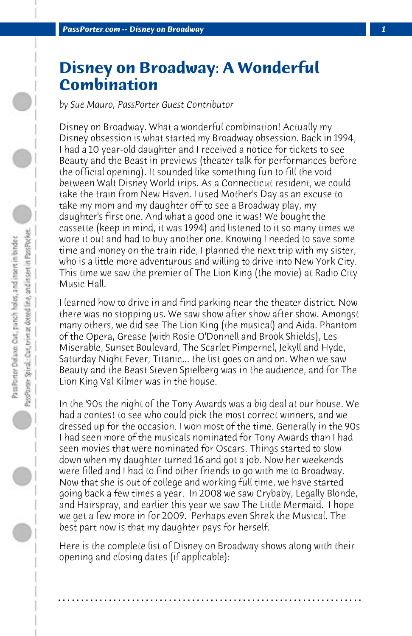## **Disney on Broadway: A Wonderful Combination**

*by Sue Mauro, PassPorter Guest Contributor*

Disney on Broadway. What a wonderful combination! Actually my Disney obsession is what started my Broadway obsession. Back in 1994, I had a 10 year-old daughter and I received a notice for tickets to see Beauty and the Beast in previews (theater talk for performances before the official opening). It sounded like something fun to fill the void between Walt Disney World trips. As a Connecticut resident, we could take the train from New Haven. I used Mother's Day as an excuse to take my mom and my daughter off to see a Broadway play, my daughter's first one. And what a good one it was! We bought the cassette (keep in mind, it was 1994) and listened to it so many times we wore it out and had to buy another one. Knowing I needed to save some time and money on the train ride, I planned the next trip with my sister, who is a little more adventurous and willing to drive into New York City. This time we saw the premier of The Lion King (the movie) at Radio City Music Hall.

I learned how to drive in and find parking near the theater district. Now there was no stopping us. We saw show after show after show. Amongst many others, we did see The Lion King (the musical) and Aida. Phantom of the Opera, Grease (with Rosie O'Donnell and Brook Shields), Les Miserable, Sunset Boulevard, The Scarlet Pimpernel, Jekyll and Hyde, Saturday Night Fever, Titanic... the list goes on and on. When we saw Beauty and the Beast Steven Spielberg was in the audience, and for The Lion King Val Kilmer was in the house.

In the '90s the night of the Tony Awards was a big deal at our house. We had a contest to see who could pick the most correct winners, and we dressed up for the occasion. I won most of the time. Generally in the 90s I had seen more of the musicals nominated for Tony Awards than I had seen movies that were nominated for Oscars. Things started to slow down when my daughter turned 16 and got a job. Now her weekends were filled and I had to find other friends to go with me to Broadway. Now that she is out of college and working full time, we have started going back a few times a year. In 2008 we saw Crybaby, Legally Blonde, and Hairspray, and earlier this year we saw The Little Mermaid. I hope we get a few more in for 2009. Perhaps even Shrek the Musical. The best part now is that my daughter pays for herself.

Here is the complete list of Disney on Broadway shows along with their opening and closing dates (if applicable):

**. . . . . . . . . . . . . . . . . . . . . . . . . . . . . . . . . . . . . . . . . . . . . . . . . . . . . . . . . . . . . . . . . .**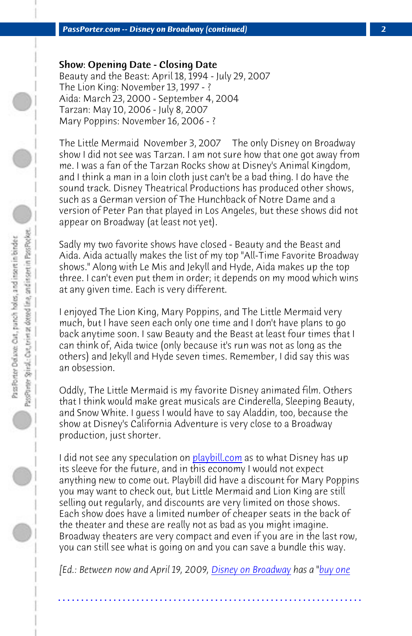*PassPorter.com -- Disney on Broadway (continued) 2*

Show: Opening Date - Closing Date

Beauty and the Beast: April 18, 1994 - July 29, 2007 The Lion King: November 13, 1997 - ? Aida: March 23, 2000 - September 4, 2004 Tarzan: May 10, 2006 - July 8, 2007 Mary Poppins: November 16, 2006 -?

The Little Mermaid November 3, 2007 The only Disney on Broadway show I did not see was Tarzan. I am not sure how that one got away from me. I was a fan of the Tarzan Rocks show at Disney's Animal Kingdom, and I think a man in a loin cloth just can't be a bad thing. I do have the sound track. Disney Theatrical Productions has produced other shows, such as a German version of The Hunchback of Notre Dame and a version of Peter Pan that played in Los Angeles, but these shows did not appear on Broadway (at least not yet).

Sadly my two favorite shows have closed - Beauty and the Beast and Aida. Aida actually makes the list of my top "All-Time Favorite Broadway shows." Along with Le Mis and J[ekyll and Hyd](http://www.playbill.com/)e, Aida makes up the top three. I can't even put them in order; it depends on my mood which wins at any given time. Each is very different.

I enjoyed The Lion King, Mary Poppins, and The Little Mermaid very much, but I have seen each only one time and I don't have plans to go back anytime soon. I saw Beauty and the Beast at least four times that I can think of, Aida twice (only because it's run was not as long as the others) and Jekyll and Hyde seven times. Remember, I did say this was an obsession.

Oddly, The Little Mermaid is my fav[orite Disney animate](http://disney.go.com/theatre/#/home/)d film[. Others](http://offers.disneyonbroadway.com/) that I think would make great musicals are Cinderella, Sleeping Beauty, and Snow White. I guess I would have to say Aladdin, too, because the show at Disney's California Adventure is very close to a Broadway production, just shorter.

I did not see any speculation on **playbill.com** as to what Disney has up its sleeve for the future, and in this economy I would not expect anything new to come out. Playbill did have a discount for Mary Poppins you may want to check out, but Little Mermaid and Lion King are still selling out regularly, and discounts are very limited on those shows. Each show does have a limited number of cheaper seats in the back of the theater and these are really not as bad as you might imagine. Broadway theaters are very compact and even if you are in the last row, you can still see what is going on and you can save a bundle this way.

*[Ed.: Between now and April 19, 2009, Disney on Broadway has a "buy one*

**. . . . . . . . . . . . . . . . . . . . . . . . . . . . . . . . . . . . . . . . . . . . . . . . . . . . . . . . . . . . . . . . . .**